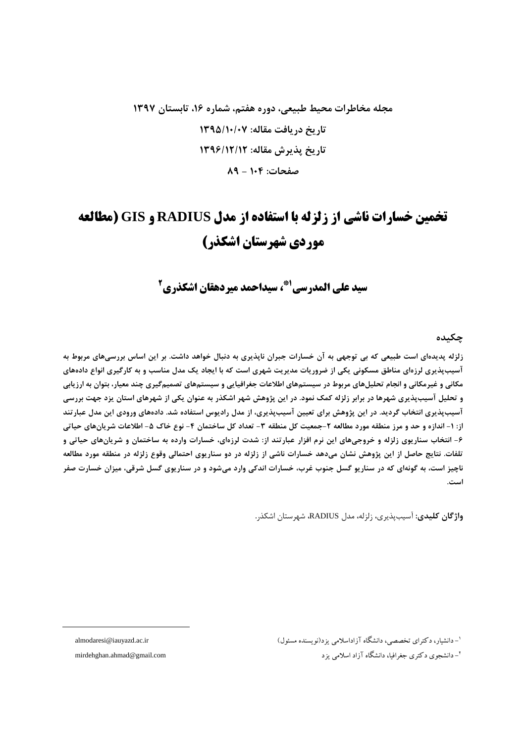## مجله مخاطرات محیط طبیعی، دوره هفتم، شماره ۱۶، تابستان ۱۳۹۷ تاریخ دریافت مقاله: ۱۳۹۵/۱۰/۰۷ تاريخ پذيرش مقاله: ١٣٩۶/١٢/١٢ صفحات: ١٠٤ - ٨٩

# تخمین خسارات ناشی از زلزله با استفاده از مدل RADIUS و GIS (مطالعه موردی شهرستان اشکذر)

سيد على المدرسي<sup>41</sup>، سيداحمد ميردهقان اشكذري<sup>2</sup>

جكىدە

زلزله پدیدهای است طبیعی که بی توجهی به آن خسارات جبران ناپذیری به دنبال خواهد داشت. بر این اساس بررسیهای مربوط به آسیبپذیری لرزهای مناطق مسکونی یکی از ضروریات مدیریت شهری است که با ایجاد یک مدل مناسب و به کارگیری انواع دادههای مکانی و غیرمکانی و انجام تحلیلهای مربوط در سیستمهای اطلاعات جغرافیایی و سیستمهای تصمیمگیری چند معیار، بتوان به ارزیابی و تحلیل آسیبپذیری شهرها در برابر زلزله کمک نمود. در این پژوهش شهر اشکذر به عنوان یکی از شهرهای استان پزد جهت بررسی آسیب پذیری انتخاب گردید. در این پژوهش برای تعیین آسیب پذیری، از مدل رادیوس استفاده شد. دادههای ورودی این مدل عبارتند از: ١- اندازه و حد و مرز منطقه مورد مطالعه ٢-جمعيت كل منطقه ٣- تعداد كل ساختمان ۴- نوع خاك ۵- اطلاعات شريانهاي حياتي ۶- انتخاب سناریوی زلزله و خروجیهای این نرم افزار عبارتند از: شدت لرزهای، خسارات وارده به ساختمان و شریانهای حیاتی و تلفات. نتایج حاصل از این پژوهش نشان میدهد خسارات ناشی از زلزله در دو سناریوی احتمالی وقوع زلزله در منطقه مورد مطالعه ناچيز است، به گونهاي كه در سناريو گسل جنوب غرب، خسارات اندكي وارد ميشود و در سناريوي گسل شرقي، ميزان خسارت صفر است.

واژگان کلیدی: آسیبیذیری، زلزله، مدل RADIUS، شهرستان اشکذر.

<sup>۱</sup>- دانشار، دکترای تخصصی، دانشگاه آزاداسلامی بز د(نو بسنده مسئول)

<sup>۲</sup>- دانشجوی دکتری جغرافیا، دانشگاه آزاد اسلامی بزد

almodaresi@iauyazd.ac.ir

mirdehghan.ahmad@gmail.com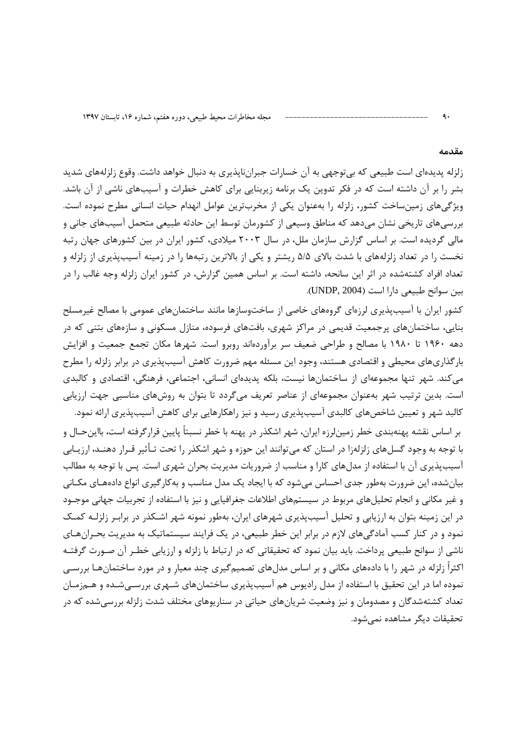#### مقدمه

زلزله پدیدهای است طبیعی که بی توجهی به آن خسارات جبراننایذیری به دنبال خواهد داشت. وقوع زلزلههای شدید بشر را بر آن داشته است که در فکر تدوین یک برنامه زیربنایی برای کاهش خطرات و آسیبهای ناشی از آن باشد. ویژگیهای زمینساخت کشور، زلزله را بهعنوان یکی از مخربترین عوامل انهدام حیات انسانی مطرح نموده است. بررسیهای تاریخی نشان میدهد که مناطق وسیعی از کشورمان توسط این حادثه طبیعی متحمل آسیبهای جانی و مالی گردیده است. بر اساس گزارش سازمان ملل، در سال ۲۰۰۳ میلادی، کشور ایران در بین کشورهای جهان رتبه نخست را در تعداد زلزلههای با شدت بالای ۵/۵ ریشتر و یکی از بالاترین رتبهها را در زمینه آسیبپذیری از زلزله و تعداد افراد کشتهشده در اثر این سانحه، داشته است. بر اساس همین گزارش، در کشور ایران زلزله وجه غالب را در بين سوانح طبيعي دارا است (UNDP, 2004).

کشور ایران با آسیبپذیری لرزهای گروههای خاصی از ساختوسازها مانند ساختمانهای عمومی با مصالح غیرمسلح بنایی، ساختمانهای پرجمعیت قدیمی در مراکز شهری، بافتهای فرسوده، منازل مسکونی و سازههای بتنی که در دهه ۱۹۶۰ تا ۱۹۸۰ با مصالح و طراحی ضعیف سر برآوردهاند روبرو است. شهرها مکان تجمع جمعیت و افزایش بارگذاریهای محیطی و اقتصادی هستند، وجود این مسئله مهم ضرورت کاهش آسیبپذیری در برابر زلزله را مطرح می کند. شهر تنها مجموعهای از ساختمانها نیست، بلکه پدیدهای انسانی، اجتماعی، فرهنگی، اقتصادی و کالبدی است. بدین ترتیب شهر بهعنوان مجموعهای از عناصر تعریف میگردد تا بتوان به روشهای مناسبی جهت ارزیابی کالبد شهر و تعیین شاخصهای کالبدی آسیبپذیری رسید و نیز راهکارهایی برای کاهش آسیبپذیری ارائه نمود.

بر اساس نقشه پهنهبندی خطر زمینِ لرزه ایران، شهر اشکذر در پهنه با خطر نسبتاً پایین قرار گرفته است، بااین حـال و با توجه به وجود گسلهای زلزلهزا در استان که میتوانند این حوزه و شهر اشکذر را تحت تـأثیر قـرار دهنــد، ارزيـابی آسیبپذیری آن با استفاده از مدلهای کارا و مناسب از ضروریات مدیریت بحران شهری است. پس با توجه به مطالب بیانشده، این ضرورت بهطور جدی احساس میشود که با ایجاد یک مدل مناسب و بهکارگیری انواع دادههـای مکـانی و غیر مکانی و انجام تحلیلهای مربوط در سیستمهای اطلاعات جغرافیایی و نیز با استفاده از تجربیات جهانی موجـود در این زمینه بتوان به ارزیابی و تحلیل آسیبپذیری شهرهای ایران، بهطور نمونه شهر اشـکذر در برابـر زلزلـه کمـک نمود و در کنار کسب آمادگیهای لازم در برابر این خطر طبیعی، در یک فرایند سیستماتیک به مدیریت بحـرانهـای ناشی از سوانح طبیعی پرداخت. باید بیان نمود که تحقیقاتی که در ارتباط با زلزله و ارزیابی خطـر آن صـورت گرفتـه اکثراً زلزله در شهر را با دادههای مکانی و بر اساس مدلهای تصمیمگیری چند معیار و در مورد ساختمانهـا بررسـی نموده اما در این تحقیق با استفاده از مدل رادیوس هم آسیبپذیری ساختمانهای شـهری بررسـیشـده و هـمزمـان تعداد کشتهشدگان و مصدومان و نیز وضعیت شریانهای حیاتی در سناریوهای مختلف شدت زلزله بررسیشده که در تحقيقات ديگر مشاهده نمي شود.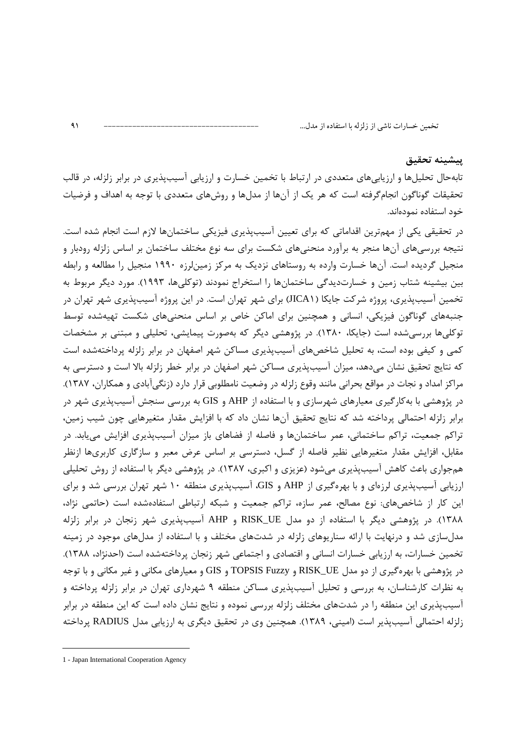#### پيشينه تحقيق

تابهحال تحلیلها و ارزیابیهای متعددی در ارتباط با تخمین خسارت و ارزیابی آسیبپذیری در برابر زلزله، در قالب تحقیقات گوناگون انجامگرفته است که هر یک از آنها از مدلها و روشهای متعددی با توجه به اهداف و فرضیات خود استفاده نمودهاند.

در تحقیقی یکی از مهمترین اقداماتی که برای تعیین آسیبپذیری فیزیکی ساختمانها لازم است انجام شده است. نتیجه بررسیهای آنها منجر به برآورد منحنیهای شکست برای سه نوع مختلف ساختمان بر اساس زلزله رودبار و منجیل گردیده است. آنها خسارت وارده به روستاهای نزدیک به مرکز زمینلرزه ۱۹۹۰ منجیل را مطالعه و رابطه بین بیشینه شتاب زمین و خسارتدیدگی ساختمانها را استخراج نمودند (توکلیها، ۱۹۹۳). مورد دیگر مربوط به تخمین آسیبپذیری، پروژه شرکت جایکا (JICA۱) برای شهر تهران است. در این پروژه آسیبپذیری شهر تهران در جنبههای گوناگون فیزیکی، انسانی و همچنین برای اماکن خاص بر اساس منحنیهای شکست تهیهشده توسط توکلیها بررسیشده است (جایکا، ۱۳۸۰). در پژوهشی دیگر که بهصورت پیمایشی، تحلیلی و مبتنی بر مشخصات کمی و کیفی بوده است، به تحلیل شاخصهای آسیبپذیری مساکن شهر اصفهان در برابر زلزله پرداختهشده است که نتایج تحقیق نشان میدهد، میزان آسیبپذیری مساکن شهر اصفهان در برابر خطر زلزله بالا است و دسترسی به مراکز امداد و نجات در مواقع بحرانی مانند وقوع زلزله در وضعیت نامطلوبی قرار دارد (زنگیآبادی و همکاران، ۱۳۸۷). در پژوهشی با بهکارگیری معیارهای شهرسازی و با استفاده از AHP و GIS به بررسی سنجش آسیبپذیری شهر در برابر زلزله احتمالی پرداخته شد که نتایج تحقیق آنها نشان داد که با افزایش مقدار متغیرهایی چون شیب زمین، تراکم جمعیت، تراکم ساختمانی، عمر ساختمانها و فاصله از فضاهای باز میزان آسیبپذیری افزایش مییابد. در مقابل، افزایش مقدار متغیرهایی نظیر فاصله از گسل، دسترسی بر اساس عرض معبر و سازگاری کاربریها ازنظر همجواری باعث کاهش آسیبپذیری میشود (عزیزی و اکبری، ۱۳۸۷). در پژوهشی دیگر با استفاده از روش تحلیلی ارزیابی آسیبپذیری لرزهای و با بهرهگیری از AHP و GIS، آسیبپذیری منطقه ۱۰ شهر تهران بررسی شد و برای این کار از شاخصهای: نوع مصالح، عمر سازه، تراکم جمعیت و شبکه ارتباطی استفادهشده است (حاتمی نژاد، ۱۳۸۸). در پژوهشی دیگر با استفاده از دو مدل RISK\_UE و AHP آسیبپذیری شهر زنجان در برابر زلزله مدلسازی شد و درنهایت با ارائه سناریوهای زلزله در شدتهای مختلف و با استفاده از مدلهای موجود در زمینه تخمین خسارات، به ارزیابی خسارات انسانی و اقتصادی و اجتماعی شهر زنجان پرداختهشده است (احدنژاد، ۱۳۸۸). در پژوهشی با بهرهگیری از دو مدل RISK\_UE و TOPSIS Fuzzy و GIS و معیارهای مکانی و غیر مکانی و با توجه به نظرات کارشناسان، به بررسی و تحلیل آسیبپذیری مساکن منطقه ۹ شهرداری تهران در برابر زلزله پرداخته و آسیبپذیری این منطقه را در شدتهای مختلف زلزله بررسی نموده و نتایج نشان داده است که این منطقه در برابر زلزله احتمالی آسیبپذیر است (امینی، ۱۳۸۹). همچنین وی در تحقیق دیگری به ارزیابی مدل RADIUS پرداخته

 $\overline{a}$ 

<sup>1 -</sup> Japan International Cooperation Agency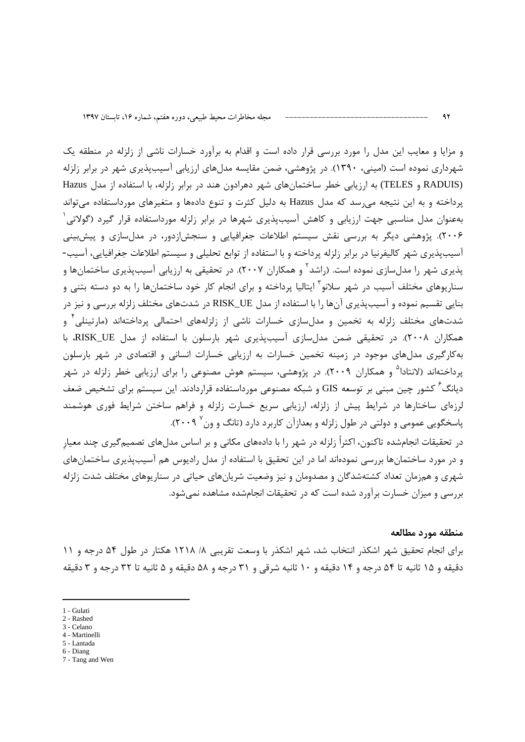و مزایا و معایب این مدل را مورد بررسی قرار داده است و اقدام به برآورد خسارات ناشی از زلزله در منطقه یک شهرداری نموده است (امینی، ۱۳۹۰). در پژوهشی، ضمن مقایسه مدلهای ارزیابی آسیبپذیری شهر در برابر زلزله RADUIS) و TELES) به ارزيابي خطر ساختمانهاي شهر دهرادون هند در برابر زلزله، با استفاده از مدل Hazus پرداخته و به این نتیجه میرسد که مدل Hazus به دلیل کثرت و تنوع دادهها و متغیرهای مورداستفاده میتواند بهعنوان مدل مناسبی جهت ارزیابی و کاهش آسیبپذیری شهرها در برابر زلزله مورداستفاده قرار گیرد (گولاتی<sup>٬</sup> ۲۰۰۶). پژوهشی دیگر به بررسی نقش سیستم اطلاعات جغرافیایی و سنجش|زدور، در مدلسازی و پیشبینی آسیبپذیری شهر کالیفرنیا در برابر زلزله پرداخته و با استفاده از توابع تحلیلی و سیستم اطلاعات جغرافیایی، آسیب-پذیری شهر را مدلسازی نموده است. (راشد<sup>۲</sup> و همکاران ۲۰۰۷). در تحقیقی به ارزیابی آسیبپذیری ساختمانها و سناریوهای مختلف آسیب در شهر سلانو<sup>۳</sup> ایتالیا پرداخته و برای انجام کار خود ساختمانها را به دو دسته بتنی و بنایی تقسیم نموده و آسیبپذیری آنها را با استفاده از مدل RISK\_UE در شدتهای مختلف زلزله بررسی و نیز در شدتهای مختلف زلزله به تخمین و مدلسازی خسارات ناشی از زلزلههای احتمالی پرداختهاند (مارتینلی<sup>۴</sup> و همکاران ۲۰۰۸). در تحقیقی ضمن مدلسازی آسیبپذیری شهر بارسلون با استفاده از مدل RISK\_UE، با بهکارگیری مدلهای موجود در زمینه تخمین خسارات به ارزیابی خسارات انسانی و اقتصادی در شهر بارسلون پرداختهاند (لانتادا<sup>۵</sup> و همکاران ۲۰۰۹). در پژوهشی، سیستم هوش مصنوعی را برای ارزیابی خطر زلزله در شهر دیانگ<sup>۶</sup> کشور چین مبنی بر توسعه GIS و شبکه مصنوعی مورداستفاده قراردادند. این سیستم برای تشخیص ضعف لرزهای ساختارها در شرایط پیش از زلزله، ارزیابی سریع خسارت زلزله و فراهم ساختن شرایط فوری هوشمند پاسخگویی عمومی و دولتی در طول زلزله و بعدازآن کاربرد دارد (تانگ و ون<sup>۷</sup> ۲۰۰۹).

در تحقیقات انجامشده تاکنون، اکثراً زلزله در شهر را با دادههای مکانی و بر اساس مدلهای تصمیمگیری چند معیارِ و در مورد ساختمانها بررسی نمودهاند اما در این تحقیق با استفاده از مدل رادیوس هم آسیبپذیری ساختمانهای شهری و همزمان تعداد کشتهشدگان و مصدومان و نیز وضعیت شریانهای حیاتی در سناریوهای مختلف شدت زلزله بررسی و میزان خسارت برآورد شده است که در تحقیقات انجامشده مشاهده نمیشود.

#### منطقه مورد مطالعه

برای انجام تحقیق شهر اشکذر انتخاب شد، شهر اشکذر با وسعت تقریبی ۸/ ۱۲۱۸ هکتار در طول ۵۴ درجه و ۱۱ دقيقه و ۱۵ ثانيه تا ۵۴ درجه و ۱۴ دقيقه و ۱۰ ثانيه شرقي و ۳۱ درجه و ۵۸ دقيقه و ۵ ثانيه تا ۳۲ درجه و ۳ دقيقه

1 - Gulati

 $\overline{a}$ 

- 2 Rashed
- 3 Celano 4 - Martinelli
- 5 Lantada
- 6 Diang

<sup>7 -</sup> Tang and Wen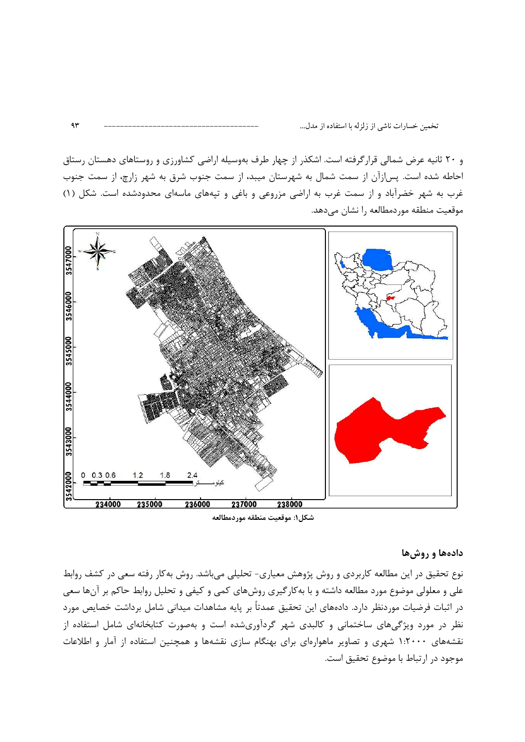و ۲۰ ثانیه عرض شمالی قرارگرفته است. اشکذر از چهار طرف بهوسیله اراضی کشاورزی و روستاهای دهستان رستاق احاطه شده است. پس ازآن از سمت شمال به شهرستان میبد، از سمت جنوب شرق به شهر زارچ، از سمت جنوب غرب به شهر خضرآباد و از سمت غرب به اراضی مزروعی و باغی و تپههای ماسهای محدودشده است. شکل (۱) موقعیت منطقه موردمطالعه را نشان میدهد.



شكل۱: موقعيت منطقه موردمطالعه

#### دادهها و روش ها

نوع تحقیق در این مطالعه کاربردی و روش پژوهش معیاری- تحلیلی می باشد. روش بهکار رفته سعی در کشف روابط علی و معلولی موضوع مورد مطالعه داشته و با بهکارگیری روشهای کمی و کیفی و تحلیل روابط حاکم بر آنها سعی در اثبات فرضیات موردنظر دارد. دادههای این تحقیق عمدتاً بر پایه مشاهدات میدانی شامل برداشت خصایص مورد نظر در مورد ویژگیهای ساختمانی و کالبدی شهر گردآوریشده است و بهصورت کتابخانهای شامل استفاده از نقشههای ۱۰۲۰۰۰ شهری و تصاویر ماهوارهای برای بهنگام سازی نقشهها و همچنین استفاده از آمار و اطلاعات موجود در ارتباط با موضوع تحقيق است.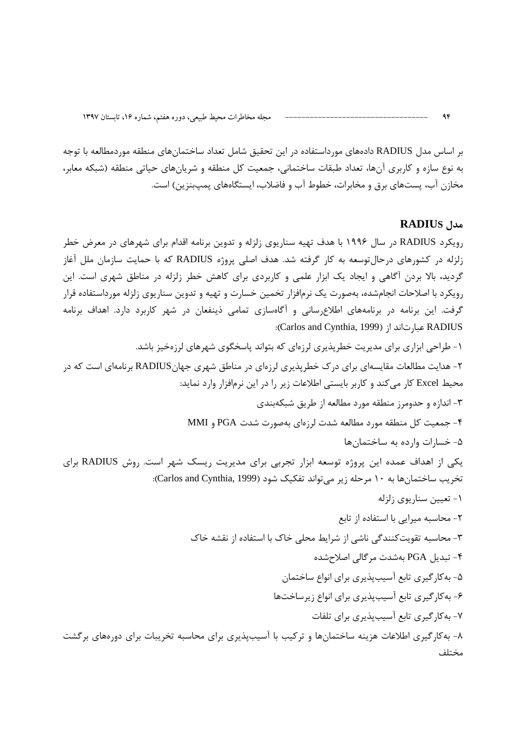بر اساس مدل RADIUS دادههای مورداستفاده در این تحقیق شامل تعداد ساختمانهای منطقه موردمطالعه با توجه به نوع سازه و کاربری آنها، تعداد طبقات ساختمانی، جمعیت کل منطقه و شریانهای حیاتی منطقه (شبکه معابر، مخازن آب، پستهای برق و مخابرات، خطوط آب و فاضلاب، ایستگاههای پمپبنزین) است.

#### AADIUS مدل

 $96$ 

رویکرد RADIUS در سال ۱۹۹۶ با هدف تهیه سناریوی زلزله و تدوین برنامه اقدام برای شهرهای در معرض خطر زلزله در کشورهای درحالتوسعه به کار گرفته شد. هدف اصلی پروژه RADIUS که با حمایت سازمان ملل آغاز گردید، بالا بردن آگاهی و ایجاد یک ابزار علمی و کاربردی برای کاهش خطر زلزله در مناطق شهری است. این رویکرد با اصلاحات انجامشده، بهصورت یک نرمافزار تخمین خسارت و تهیه و تدوین سناریوی زلزله مورداستفاده قرار گرفت. این برنامه در برنامههای اطلاعرسانی و آگاهسازی تمامی ذینفعان در شهر کاربرد دارد. اهداف برنامه :(Carlos and Cynthia, 1999) عبارتاند از: (Carlos and Cynthia, 1999):

۱- طراحی ابزاری برای مدیریت خطریذیری لرزهای که بتواند پاسخگوی شهرهای لرزهخیز باشد. ۲- هدایت مطالعات مقایسهای برای درک خطرپذیری لرزهای در مناطق شهری جهانRADIUS برنامهای است که در محيط Excel كار مي كند و كاربر بايستي اطلاعات زير را در اين نرمافزار وارد نمايد: ۳- اندازه و حدومرز منطقه مورد مطالعه از طریق شبکهبندی ۴- جمعیت کل منطقه مورد مطالعه شدت لرزمای بهصورت شدت PGA و MMI ۵- خسارات وارده به ساختمانها یکی از اهداف عمده این پروژه توسعه ابزار تجربی برای مدیریت ریسک شهر است. روش RADIUS برای تخریب ساختمانها به ١٠ مرحله زیر میتواند تفکیک شود (Carlos and Cynthia, 1999): ١- تعیین سناریوی زلزله ٢- محاسبه ميرايي با استفاده از تابع ۳- محاسبه تقویتکنندگی ناشی از شرایط محلی خاک با استفاده از نقشه خاک ۴- تبدیل PGA بهشدت مرگالی اصلاحشده ۵- به کار گیری تابع آسیبپذیری برای انواع ساختمان ۶- به کار گیری تابع آسیب پذیری برای انواع زیرساختها ۷- به کار گیری تابع آسیبپذیری برای تلفات ۸- به کار گیری اطلاعات هزینه ساختمانها و ترکیب با آسیبپذیری برای محاسبه تخریبات برای دورههای برگشت مختلف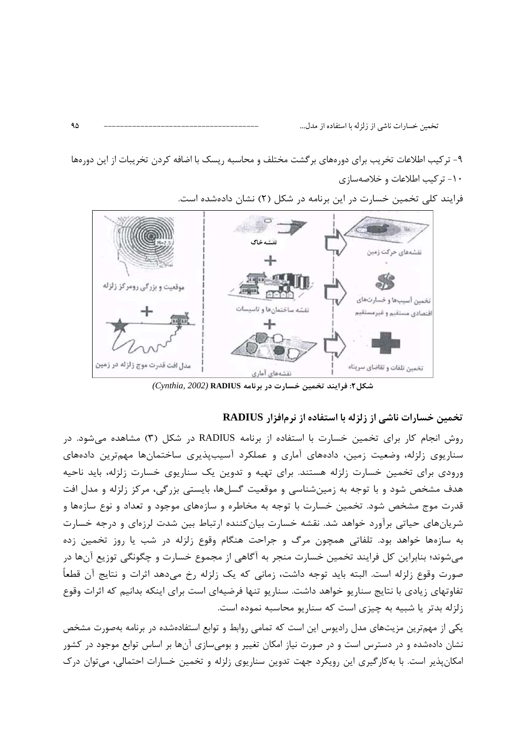۹- ترکیب اطلاعات تخریب برای دورههای برگشت مختلف و محاسبه ریسک با اضافه کردن تخریبات از این دورهها ١٠- تركيب اطلاعات و خلاصهسازى



فرایند کلی تخمین خسارت در این برنامه در شکل (۲) نشان دادهشده است.

شكل ٢: فرايند تخمين خسارت در برنامه RADIUS (Cynthia, 2002)

#### تخمین خسارات ناشی از زلزله با استفاده از نرمافزار RADIUS

روش انجام کار برای تخمین خسارت با استفاده از برنامه RADIUS در شکل (۳) مشاهده می شود. در سناریوی زلزله، وضعیت زمین، دادههای آماری و عملکرد آسیبپذیری ساختمانها مهمترین دادههای ورودی برای تخمین خسارت زلزله هستند. برای تهیه و تدوین یک سناریوی خسارت زلزله، باید ناحیه هدف مشخص شود و با توجه به زمینشناسی و موقعیت گسلها، بایستی بزرگی، مرکز زلزله و مدل افت قدرت موج مشخص شود. تخمین خسارت با توجه به مخاطره و سازههای موجود و تعداد و نوع سازهها و شریانهای حیاتی برآورد خواهد شد. نقشه خسارت بیانکننده ارتباط بین شدت لرزهای و درجه خسارت به سازهها خواهد بود. تلفاتی همچون مرگ و جراحت هنگام وقوع زلزله در شب یا روز تخمین زده می شوند؛ بنابراین کل فرایند تخمین خسارت منجر به آگاهی از مجموع خسارت و چگونگی توزیع آنها در صورت وقوع زلزله است. البته بايد توجه داشت، زماني كه يک زلزله رخ مي٥هد اثرات و نتايج آن قطعاً تفاوتهای زیادی با نتایج سناریو خواهد داشت. سناریو تنها فرضیهای است برای اینکه بدانیم که اثرات وقوع زلزله بدتر یا شبیه به چیزی است که سناریو محاسبه نموده است.

یکی از مهمترین مزیتهای مدل رادیوس این است که تمامی روابط و توابع استفادهشده در برنامه بهصورت مشخص نشان دادهشده و در دسترس است و در صورت نیاز امکان تغییر و بومیسازی آنها بر اساس توابع موجود در کشور امکان پذیر است. با به کار گیری این رویکرد جهت تدوین سناریوی زلزله و تخمین خسارات احتمالی، می توان در ک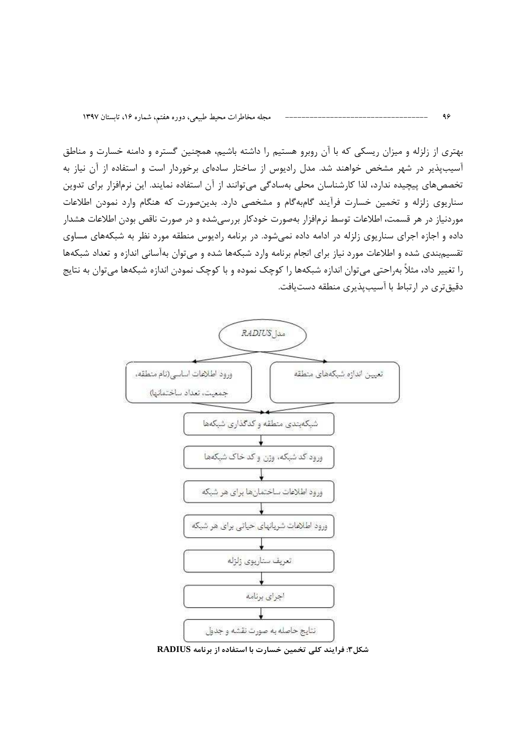بهتری از زلزله و میزان ریسکی که با آن روبرو هستیم را داشته باشیم، همچنین گستره و دامنه خسارت و مناطق آسیبپذیر در شهر مشخص خواهند شد. مدل رادیوس از ساختار سادهای برخوردار است و استفاده از آن نیاز به تخصصهای پیچیده ندارد، لذا کارشناسان محلی بهسادگی میتوانند از آن استفاده نمایند. این نرمافزار برای تدوین سناریوی زلزله و تخمین خسارت فرآیند گامبهگام و مشخصی دارد. بدینصورت که هنگام وارد نمودن اطلاعات موردنیاز در هر قسمت، اطلاعات توسط نرمافزار بهصورت خودکار بررسیشده و در صورت ناقص بودن اطلاعات هشدار داده و اجازه اجرای سناریوی زلزله در ادامه داده نمی شود. در برنامه رادیوس منطقه مورد نظر به شبکههای مساوی تقسیم بندی شده و اطلاعات مورد نیاز برای انجام برنامه وارد شبکهها شده و می توان بهآسانی اندازه و تعداد شبکهها را تغییر داد، مثلاً بهراحتی می¤وان اندازه شبکهها را کوچک نموده و با کوچک نمودن اندازه شبکهها می¤وان به نتایج دقیقتری در ارتباط با آسیبپذیری منطقه دستیافت.



شکل۳: فرایند کلی تخمین خسارت با استفاده از برنامه RADIUS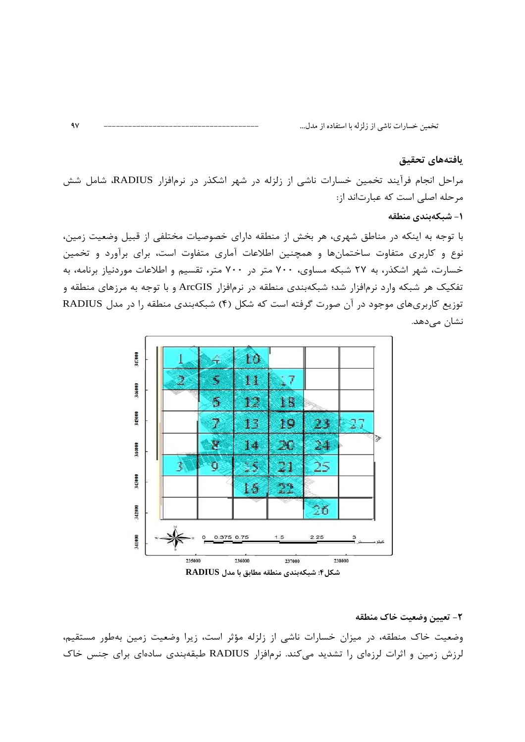#### يافتههاى تحقيق

مراحل انجام فرآیند تخمین خسارات ناشی از زلزله در شهر اشکذر در نرمافزار RADIUS، شامل شش مرحله اصلی است که عبارتاند از:

#### ۱– شبکهبندی منطقه

با توجه به اینکه در مناطق شهری، هر بخش از منطقه دارای خصوصیات مختلفی از قبیل وضعیت زمین، نوع و کاربری متفاوت ساختمانها و همچنین اطلاعات آماری متفاوت است، برای برآورد و تخمین خسارت، شهر اشکذر، به ۲۷ شبکه مساوی، ۷۰۰ متر در ۷۰۰ متر، تقسیم و اطلاعات موردنیاز برنامه، به تفکیک هر شبکه وارد نرمافزار شد؛ شبکهبندی منطقه در نرمافزار ArcGIS و با توجه به مرزهای منطقه و توزیع کاربریهای موجود در آن صورت گرفته است که شکل (۴) شبکهبندی منطقه را در مدل RADIUS نشان مے دھد.



٢- تعيين وضعيت خاک منطقه وضعیت خاک منطقه، در میزان خسارات ناشی از زلزله مؤثر است، زیرا وضعیت زمین بهطور مستقیم، لرزش زمین و اثرات لرزهای را تشدید میکند. نرمافزار RADIUS طبقهبندی سادهای برای جنس خاک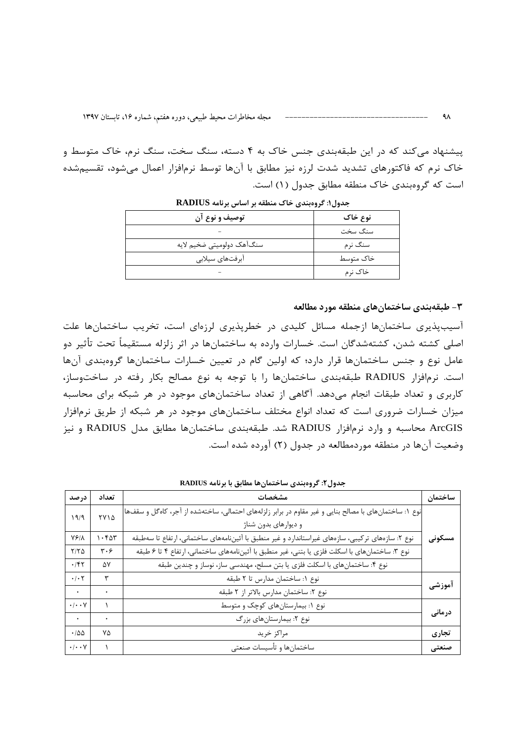پیشنهاد میکند که در این طبقهبندی جنس خاک به ۴ دسته، سنگ سخت، سنگ نرم، خاک متوسط و خاک نرم که فاکتورهای تشدید شدت لرزه نیز مطابق با آنها توسط نرمافزار اعمال میشود، تقسیمشده است که گروهبندی خاک منطقه مطابق جدول (۱) است.

| توصيف و نوع آن            | نوع خاک   |
|---------------------------|-----------|
|                           | سنگ سخت   |
| سنگآهک دولومیتی ضخیم لایه | سنگ نرم   |
| آبرفتهاي سيلابي           | خاک متوسط |
|                           | خاک نړم   |

جدول1: گروهبندی خاک منطقه بر اساس برنامه RADIUS

#### ۳– طبقهبندی ساختمان های منطقه مورد مطالعه

آسیبپذیری ساختمانها ازجمله مسائل کلیدی در خطریذیری لرزهای است، تخریب ساختمانها علت اصلی کشته شدن، کشتهشدگان است. خسارات وارده به ساختمانها در اثر زلزله مستقیماً تحت تأثیر دو عامل نوع و جنس ساختمانها قرار دارد؛ که اولین گام در تعیین خسارات ساختمانها گروهبندی آنها است. نرمافزار RADIUS طبقهبندی ساختمانها را با توجه به نوع مصالح بکار رفته در ساختوساز، کاربری و تعداد طبقات انجام میدهد. آگاهی از تعداد ساختمانهای موجود در هر شبکه برای محاسبه میزان خسارات ضروری است که تعداد انواع مختلف ساختمانهای موجود در هر شبکه از طریق نرمافزار ArcGIS محاسبه و وارد نرمافزار RADIUS شد. طبقهبندی ساختمانها مطابق مدل RADIUS و نیز وضعیت آنها در منطقه موردمطالعه در جدول (۲) آورده شده است.

| درصد                      | تعداد                         | مشخصات                                                                                                 | ساختمان |
|---------------------------|-------------------------------|--------------------------------------------------------------------------------------------------------|---------|
| ۹/۹                       | ٢٧١۵                          | نوع ۱: ساختمانهای با مصالح بنایی و غیر مقاوم در برابر زلزلههای احتمالی، ساختهشده از آجر، کاهگل و سقفها |         |
|                           |                               | و دیوارهای بدون شناژ                                                                                   |         |
| $YF/\lambda$              | 1.50                          | نوع ۲: سازههای ترکیبی، سازههای غیراستاندارد و غیر منطبق با آئیننامههای ساختمانی، ارتفاع تا سهطبقه      | مسکونی  |
| $Y/Y\Delta$               | $\mathbf{r} \cdot \mathbf{r}$ | نوع ۳: ساختمانهای با اسکلت فلزی یا بتنی، غیر منطبق با آئیننامههای ساختمانی، ارتفاع ۴ تا ۶ طبقه         |         |
| .157                      | ۵V                            | نوع ۴: ساختمانهای با اسکلت فلزی یا بتن مسلح، مهندسی ساز، نوساز و چندین طبقه                            |         |
| $\cdot$ / $\cdot$ $\cdot$ | ٣                             | نوع ١: ساختمان مدارس تا ٢ طبقه                                                                         |         |
| $\bullet$                 |                               | نوع ٢: ساختمان مدارس بالاتر از ٢ طبقه                                                                  | آموزشی  |
| $\cdot/\cdot\cdot$ Y      |                               | نوع ۱: بیمارستانهای کوچک و متوسط                                                                       |         |
| $\bullet$                 |                               | نوع ۲: بیمارستانهای بزرگ                                                                               | درمانی  |
| $\cdot$ 100               | ٧Δ                            | مراكز خريد                                                                                             | تجارى   |
| $\cdot/\cdot\cdot$ Y      |                               | ساختمانها و تأسيسات صنعتى                                                                              | صنعتی   |

جدول٢: گروهبندي ساختمانها مطابق با برنامه RADIUS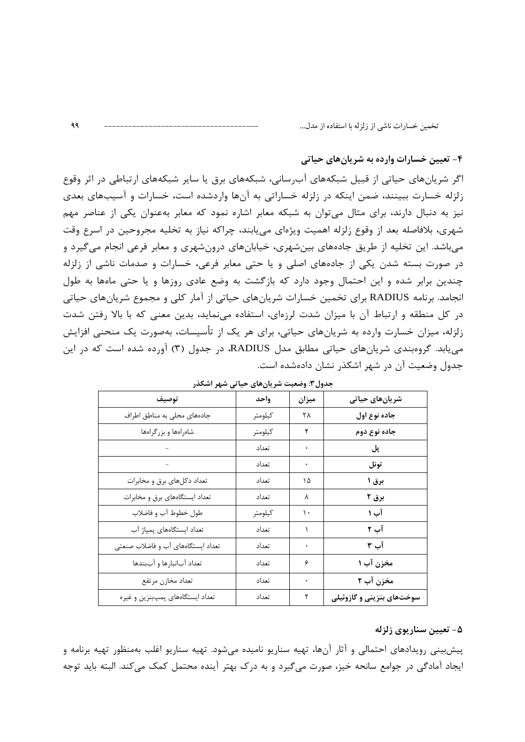$99$ 

۴- تعیین خسارات وارده به شریانهای حیاتی

اگر شریانهای حیاتی از قبیل شبکههای آبرسانی، شبکههای برق یا سایر شبکههای ارتباطی در اثر وقوع زلزله خسارت ببینند، ضمن اینکه در زلزله خساراتی به آنها واردشده است، خسارات و آسیبهای بعدی نیز به دنبال دارند، برای مثال می توان به شبکه معابر اشاره نمود که معابر بهعنوان یکی از عناصر مهم شهري، بلافاصله بعد از وقوع زلزله اهميت ويژهاي مي يابند، چراكه نياز به تخليه مجروحين در اسرع وقت میباشد. این تخلیه از طریق جادههای بینشهری، خیابانهای درونشهری و معابر فرعی انجام میگیرد و در صورت بسته شدن یکی از جادههای اصلی و یا حتی معابر فرعی، خسارات و صدمات ناشی از زلزله چندین برابر شده و این احتمال وجود دارد که بازگشت به وضع عادی روزها و یا حتی ماهها به طول انجامد. برنامه RADIUS برای تخمین خسارات شریانهای حیاتی از آمار کلی و مجموع شریانهای حیاتی در کل منطقه و ارتباط آن با میزان شدت لرزمای، استفاده می نماید، بدین معنی که با بالا رفتن شدت زلزله، میزان خسارت وارده به شریانهای حیاتی، برای هر یک از تأسیسات، بهصورت یک منحنی افزایش می یابد. گروهبندی شریانهای حیاتی مطابق مدل RADIUS، در جدول (٣) آورده شده است که در این جدول وضعیت آن در شهر اشکذر نشان دادهشده است.

| توصيف                              | واحد    | ميزان | شریانهای حیاتی            |
|------------------------------------|---------|-------|---------------------------|
| جادههای محلی به مناطق اطراف        | كيلومتر | ٢٨    | جاده نوع اول              |
| شامراهها و بزرگراهها               | كيلومتر | ۴     | جاده نوع دوم              |
|                                    | تعداد   |       | پل                        |
|                                    | تعداد   | ۰     | تونل                      |
| تعداد دکلهای برق و مخابرات         | تعداد   | ١۵    | برق ۱                     |
| تعداد ایستگاههای برق و مخابرات     | تعداد   | ٨     | برق ۲                     |
| طول خطوط آب و فاضلاب               | كيلومتر | ١.    | آب ۱                      |
| تعداد ایستگاههای پمپاژ آب          | تعداد   |       | آب ۲                      |
| تعداد ایستگاههای آب و فاضلاب صنعتی | تعداد   |       | آب ۳                      |
| تعداد آبانبارها و آببندها          | تعداد   | ۶     | مخزن آب ۱                 |
| تعداد مخازن مرتفع                  | تعداد   |       | مخزن آب ۲                 |
| تعداد ایستگاههای پمپبنزین و غیره   | تعداد   | ٢     | سوختهای بنزینی و گازوئیلی |

جدول٣: وضعیت شر پانهای جباتی شهر اشکذر

#### ۵- تعیین سناریوی زلزله

پیشبینی رویدادهای احتمالی و آثار آنها، تهیه سناریو نامیده میشود. تهیه سناریو اغلب بهمنظور تهیه برنامه و ایجاد آمادگی در جوامع سانحه خیز، صورت میگیرد و به درک بهتر آینده محتمل کمک میکند. البته باید توجه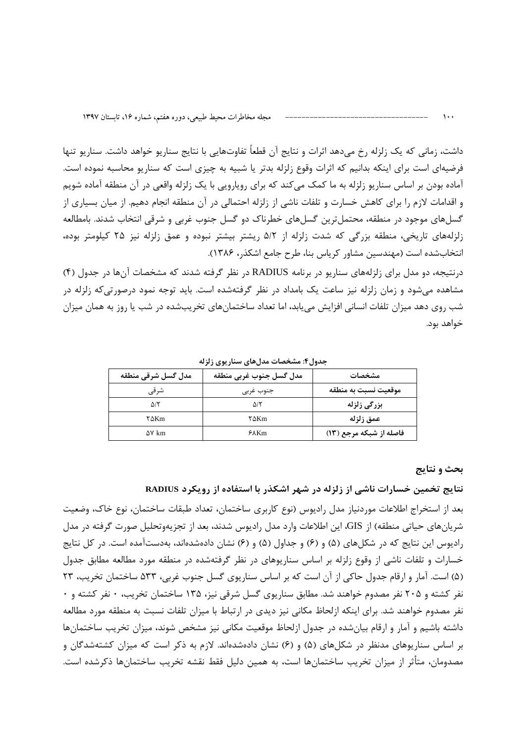داشت، زمانی که یک زلزله رخ میدهد اثرات و نتایج آن قطعاً تفاوتهایی با نتایج سناریو خواهد داشت. سناریو تنها فرضیهای است برای اینکه بدانیم که اثرات وقوع زلزله بدتر یا شبیه به چیزی است که سناریو محاسبه نموده است. آماده بودن بر اساس سناریو زلزله به ما کمک میکند که برای رویارویی با یک زلزله واقعی در آن منطقه آماده شویم و اقدامات لازم را برای کاهش خسارت و تلفات ناشی از زلزله احتمالی در آن منطقه انجام دهیم. از میان بسیاری از گسلهای موجود در منطقه، محتملترین گسلهای خطرناک دو گسل جنوب غربی و شرقی انتخاب شدند. بامطالعه زلزلههای تاریخی، منطقه بزرگی که شدت زلزله از ۵/۲ ریشتر بیشتر نبوده و عمق زلزله نیز ۲۵ کیلومتر بوده، انتخابشده است (مهندسین مشاور کریاس بنا، طرح جامع اشکذر، ۱۳۸۶).

درنتیجه، دو مدل برای زلزلههای سناریو در برنامه RADIUS در نظر گرفته شدند که مشخصات آنها در جدول (۴) مشاهده میشود و زمان زلزله نیز ساعت یک بامداد در نظر گرفتهشده است. باید توجه نمود درصورتی که زلزله در شب روی دهد میزان تلفات انسانی افزایش می یابد، اما تعداد ساختمانهای تخریبشده در شب یا روز به همان میزان خواهد بود.

| مدل گسل شرقی منطقه | مدل گسل جنوب غربي منطقه | مشخصات                  |
|--------------------|-------------------------|-------------------------|
| شرقى               | جنوب غربى               | موقعيت نسبت به منطقه    |
| ۵/۲                | ۵۱۲                     | بزرگی زلزله             |
| ۲∆Km               | ۲∆Km                    | عمق زلزله               |
| $\Delta V$ km      | 50Km                    | فاصله از شبکه مرجع (۱۳) |

جدول۴: مشخصات مدلهای سناریوی زلزله

#### بحث و نتايج

نتایج تخمین خسارات ناشی از زلزله در شهر اشکذر با استفاده از رویکرد RADIUS

بعد از استخراج اطلاعات موردنیاز مدل رادیوس (نوع کاربری ساختمان، تعداد طبقات ساختمان، نوع خاک، وضعیت شریانهای حیاتی منطقه) از GIS، این اطلاعات وارد مدل رادیوس شدند، بعد از تجزیهوتحلیل صورت گرفته در مدل رادیوس این نتایج که در شکلهای (۵) و (۶) و جداول (۵) و (۶) نشان دادهشدهاند، بهدستآمده است. در کل نتایج خسارات و تلفات ناشی از وقوع زلزله بر اساس سناریوهای در نظر گرفتهشده در منطقه مورد مطالعه مطابق جدول (۵) است. آمار و ارقام جدول حاکی از آن است که بر اساس سناریوی گسل جنوب غربی، ۵۳۳ ساختمان تخریب، ۲۳ نفر کشته و ۲۰۵ نفر مصدوم خواهند شد. مطابق سناریوی گسل شرقی نیز، ۱۳۵ ساختمان تخریب، • نفر کشته و • نفر مصدوم خواهند شد. برای اینکه ازلحاظ مکانی نیز دیدی در ارتباط با میزان تلفات نسبت به منطقه مورد مطالعه داشته باشیم و آمار و ارقام بیانشده در جدول ازلحاظ موقعیت مکانی نیز مشخص شوند، میزان تخریب ساختمانها بر اساس سناریوهای مدنظر در شکلهای (۵) و (۶) نشان دادهشدهاند. لازم به ذکر است که میزان کشتهشدگان و مصدومان، متأثر از میزان تخریب ساختمانها است، به همین دلیل فقط نقشه تخریب ساختمانها ذکرشده است.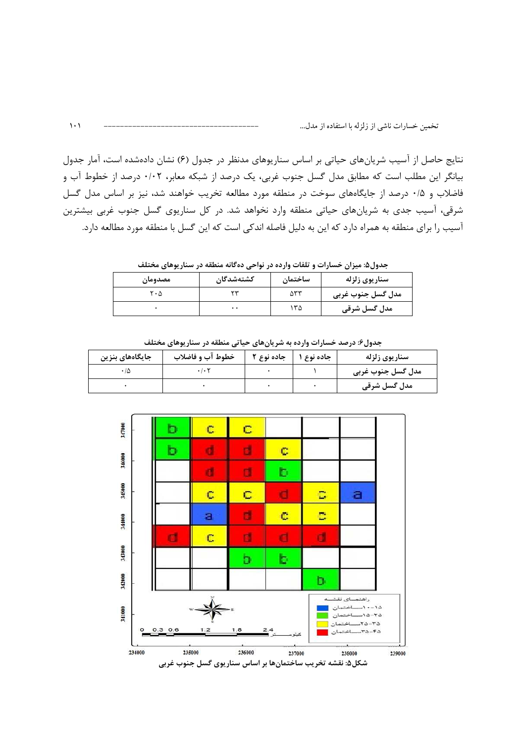نتایج حاصل از آسیب شریانهای حیاتی بر اساس سناریوهای مدنظر در جدول (۶) نشان دادهشده است، آمار جدول بیانگر این مطلب است که مطابق مدل گسل جنوب غربی، یک درصد از شبکه معابر، ۰/۰۲ درصد از خطوط آب و فاضلاب و ۰/۵ درصد از جایگاههای سوخت در منطقه مورد مطالعه تخریب خواهند شد، نیز بر اساس مدل گسل شرقی، آسیب جدی به شریانهای حیاتی منطقه وارد نخواهد شد. در کل سناریوی گسل جنوب غربی بیشترین آسیب را برای منطقه به همراه دارد که این به دلیل فاصله اندکی است که این گسل با منطقه مورد مطالعه دارد.

جدول۵: میزان خسارات و تلفات وارده در نواحی دهگانه منطقه در سناریوهای مختلف

| مصدومان | كشتەشدگان        | ساختمان | سناريوي زلزله     |
|---------|------------------|---------|-------------------|
| ۲۰۵     | س                | ۵۳۳     | مدل گسل جنوب غربی |
|         | $\bullet\bullet$ | ۳۵      | مدل گسل شرقی      |

| جدول۶: درصد خسارات وارده به شریانهای حیاتی منطقه در سناریوهای مختلف |                     |            |            |                   |
|---------------------------------------------------------------------|---------------------|------------|------------|-------------------|
| جایگاههای بنزین                                                     | خطوط آب و فاضلاب    | جاده نوع ۲ | جاده نوع ۱ | سناريوي زلزله     |
| ۰۱۵                                                                 | $\cdot$ / $\cdot$ T |            |            | مدل گسل جنوب غربی |
|                                                                     |                     |            |            | مدل گسل شرقی      |



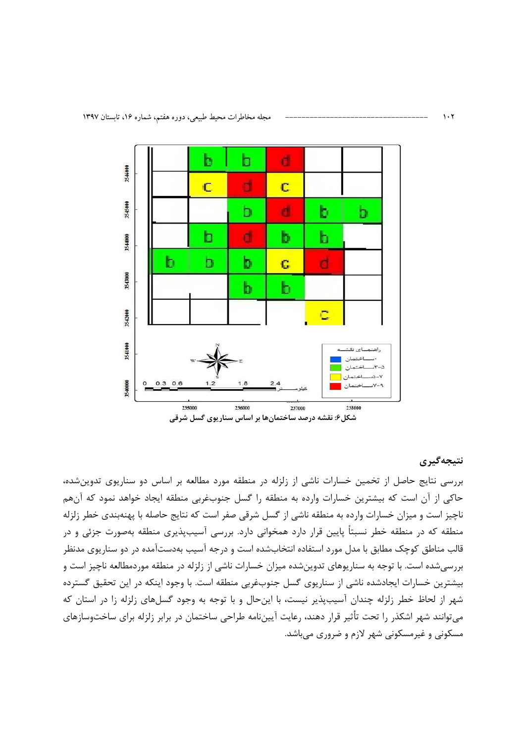

شکل۶: نقشه درصد ساختمانها بر اساس سناریوی گسل شرقی

#### نتيجەگيرى

بررسی نتایج حاصل از تخمین خسارات ناشی از زلزله در منطقه مورد مطالعه بر اساس دو سناریوی تدوین شده، حاکی از آن است که بیشترین خسارات وارده به منطقه را گسل جنوبغربی منطقه ایجاد خواهد نمود که آنهم ناچیز است و میزان خسارات وارده به منطقه ناشی از گسل شرقی صفر است که نتایج حاصله با پهنهبندی خطر زلزله منطقه که در منطقه خطر نسبتاً پایین قرار دارد همخوانی دارد. بررسی آسیبپذیری منطقه بهصورت جزئی و در قالب مناطق کوچک مطابق با مدل مورد استفاده انتخابشده است و درجه آسیب بهدستآمده در دو سناریوی مدنظر بررسی شده است. با توجه به سناریوهای تدوین شده میزان خسارات ناشی از زلزله در منطقه موردمطالعه ناچیز است و بیشترین خسارات ایجادشده ناشی از سناریوی گسل جنوبغربی منطقه است. با وجود اینکه در این تحقیق گسترده شهر از لحاظ خطر زلزله چندان آسیبپذیر نیست، با اینحال و با توجه به وجود گسلهای زلزله زا در استان که میتوانند شهر اشکذر را تحت تأثیر قرار دهند، رعایت آییننامه طراحی ساختمان در برابر زلزله برای ساختوسازهای مسکونی و غیرمسکونی شهر لازم و ضروری می باشد.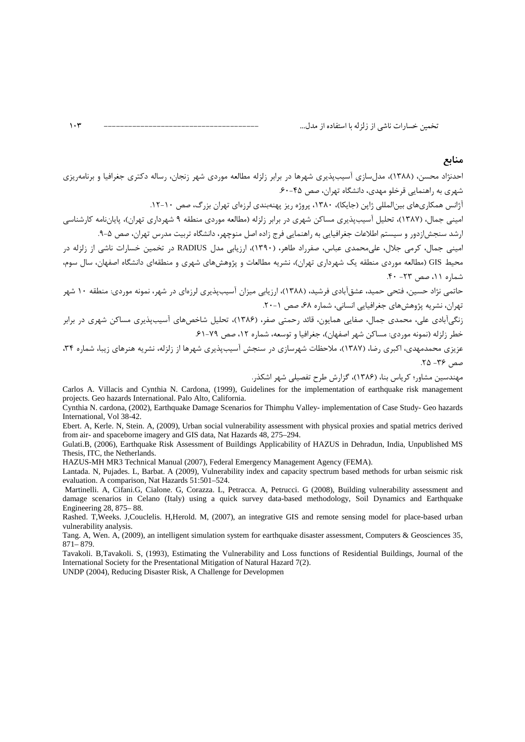احدنژاد محسن، (۱۳۸۸)، مدلسازی آسیبپذیری شهرها در برابر زلزله مطالعه موردی شهر زنجان، رساله دکتری جغرافیا و برنامهریزی شهری به راهنمایی قرخلو مهدی، دانشگاه تهران، صص ۴۵-۶۰.

آژانس همکاریهای بینالمللی ژاین (جایکا)، ۱۳۸۰، پروژه ریز پهنهبندی لرزمای تهران بزرگ، صص ۱۰-۱۲.

امینی جمال، (۱۳۸۷)، تحلیل آسیبپذیری مساکن شهری در برابر زلزله (مطالعه موردی منطقه ۹ شهرداری تهران)، پایاننامه کارشناسی ارشد سنجش|زدور و سیستم اطلاعات جغرافیایی به راهنمایی فرج زاده اصل منوچهر، دانشگاه تربیت مدرس تهران، صص ۵–۹.

امینی جمال، کرمی جلال، علی،محمدی عباس، صفرراد طاهر، (۱۳۹۰)، ارزیابی مدل RADIUS در تخمین خسارات ناشی از زلزله در محیط GIS (مطالعه موردی منطقه یک شهرداری تهران)، نشریه مطالعات و پژوهشهای شهری و منطقهای دانشگاه اصفهان، سال سوم، شماره ١١، صص ٢٣- ۴٠.

حاتمی نژاد حسین، فتحی حمید، عشق[بادی فرشید، (۱۳۸۸)، ارزیابی میزان آسیبیذیری لرزمای در شهر، نمونه موردی: منطقه ۱۰ شهر تهران، نشریه پژوهش های جغرافیایی انسانی، شماره ۶۸، صص ۱-۲۰.

عزیزی محمدمهدی، اکبری رضا، (۱۳۸۷)، ملاحظات شهرسازی در سنجش آسیبپذیری شهرها از زلزله، نشریه هنرهای زیبا، شماره ۳۴، صص ۳۶- ۲۵.

مهندسین مشاور؛ کریاس بنا، (۱۳۸۶)، گزارش طرح تفصیلی شهر اشکذر.

Carlos A. Villacis and Cynthia N. Cardona, (1999), Guidelines for the implementation of earthquake risk management projects. Geo hazards International. Palo Alto, California.

Cynthia N. cardona, (2002), Earthquake Damage Scenarios for Thimphu Valley-implementation of Case Study- Geo hazards International, Vol 38-42.

Ebert. A, Kerle. N, Stein. A, (2009), Urban social vulnerability assessment with physical proxies and spatial metrics derived from air- and spaceborne imagery and GIS data, Nat Hazards 48, 275–294.

Gulati.B, (2006), Earthquake Risk Assessment of Buildings Applicability of HAZUS in Dehradun, India, Unpublished MS Thesis, ITC, the Netherlands.

HAZUS-MH MR3 Technical Manual (2007), Federal Emergency Management Agency (FEMA).

Lantada. N, Pujades. L, Barbat. A (2009), Vulnerability index and capacity spectrum based methods for urban seismic risk evaluation. A comparison. Nat Hazards 51:501-524.

Martinelli. A, Cifani.G, Cialone. G, Corazza. L, Petracca. A, Petrucci. G (2008), Building vulnerability assessment and damage scenarios in Celano (Italy) using a quick survey data-based methodology, Soil Dynamics and Earthquake Engineering 28, 875–88.

Rashed. T, Weeks. J, Couclelis. H, Herold. M, (2007), an integrative GIS and remote sensing model for place-based urban vulnerability analysis.

Tang. A, Wen. A, (2009), an intelligent simulation system for earthquake disaster assessment, Computers & Geosciences 35,  $871 - 879.$ 

Tavakoli. B,Tavakoli. S, (1993), Estimating the Vulnerability and Loss functions of Residential Buildings, Journal of the International Society for the Presentational Mitigation of Natural Hazard 7(2).

UNDP (2004), Reducing Disaster Risk, A Challenge for Developmen

 $\mathcal{N}$